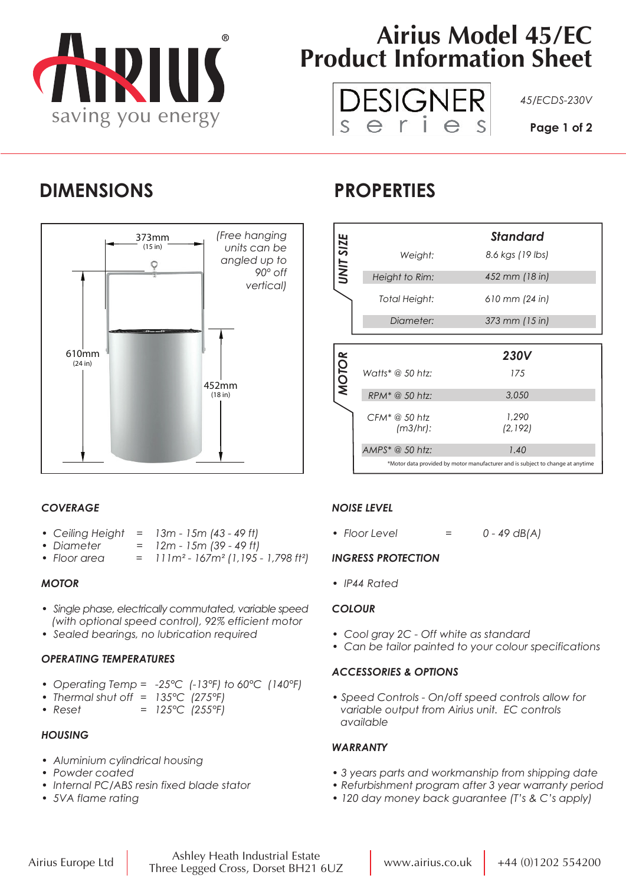

# **Airius Model 45/EC Product Information Sheet**



### **DIMENSIONS PROPERTIES**



|              |                           | <b>Standard</b>  |
|--------------|---------------------------|------------------|
| UNIT SIZE    | Weight:                   | 8.6 kgs (19 lbs) |
|              | Height to Rim:            | 452 mm (18 in)   |
|              | Total Height:             | 610 mm (24 in)   |
|              | Diameter:                 | 373 mm (15 in)   |
|              |                           |                  |
|              |                           |                  |
|              |                           | <b>230V</b>      |
|              | Watts* @ 50 htz:          | 175              |
| <b>MOTOR</b> | $RPM^* @ 50 htz$          | 3,050            |
|              | CFM* @ 50 htz<br>(m3/hr): | 1,290<br>(2,192) |
|              | AMPS* @ 50 htz:           | 1.40             |

### *COVERAGE*

- *Ceiling Height = 13m 15m (43 49 ft)*
- *Diameter = 12m 15m (39 49 ft)*
- *Floor area = 111m² 167m² (1,195 1,798 ft²)*

#### *MOTOR*

- *Single phase, electrically commutated, variable speed (with optional speed control), 92% efficient motor*
- *Sealed bearings, no lubrication required*

#### *OPERATING TEMPERATURES*

- *Operating Temp = -25°C (-13°F) to 60°C (140°F)*
- *Thermal shut off = 135°C (275°F)*
- *Reset = 125°C (255°F)*

#### *HOUSING*

- *Aluminium cylindrical housing*
- *Powder coated*
- *Internal PC/ABS resin fixed blade stator*
- *5VA flame rating*

#### *NOISE LEVEL*

*• Floor Level = 0 - 49 dB(A)*

#### *INGRESS PROTECTION*

*• IP44 Rated*

#### *COLOUR*

- *Cool gray 2C Off white as standard*
- *Can be tailor painted to your colour specifications*

#### *ACCESSORIES & OPTIONS*

*• Speed Controls - On/off speed controls allow for variable output from Airius unit. EC controls available*

#### *WARRANTY*

- *3 years parts and workmanship from shipping date*
- *Refurbishment program after 3 year warranty period*
- *120 day money back guarantee (T's & C's apply)*